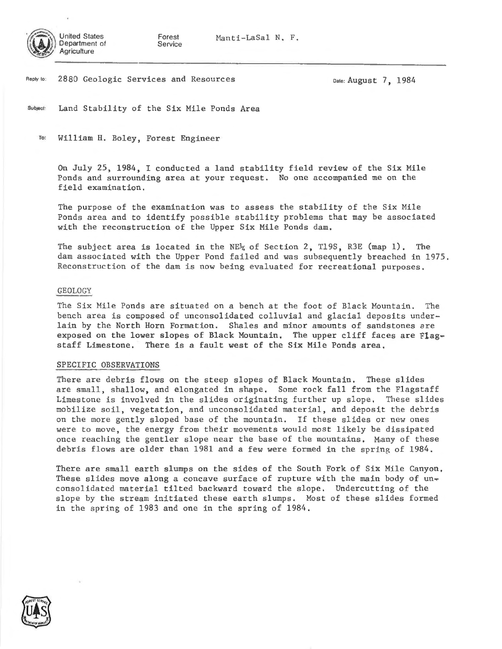

Forest

Manti-LaSal N, F.

Reply to: 2880 Geologic Services and Resources

Date: August 7, 1984

Subject: Land Stability of the Six Mile Ponds Area

<sup>~</sup>William H. Boley, Forest Engineer

On July 25, 1984, I conducted a land stability field review of the Six Mile Ponds and surrounding area at your request. No one accompanied me on the field examination.

The purpose of the examination was to assess the stability of the Six Mile Ponds area and to identify possible stability problems that may be associated with the reconstruction of the Upper Six Mile Ponds dam.

The subject area is located in the NE $\frac{1}{4}$  of Section 2, T19S, R3E (map 1). The dam associated with the Upper Pond failed and was subsequently breached in 1975. Reconstruction of the dam is now being evaluated for recreational purposes.

## GEOLOGY

The Six Mile Ponds are situated on a bench at the foot of Black Mountain. The bench area is composed of unconsolidated colluvial and glacial deposits underlain by the North Horn Formation. Shales and minor amounts of sandstones are exposed on the lower slopes of Black Mountain, The upper cliff faces are Flagstaff Limestone. There is a fault west of the Six Mile Ponds area,

## SPECIFIC OBSERVATIONS

There are debris flows on the steep slopes of Black Mountain, These slides are small, shallow, and elongated in shape. Some rock fall from the Flagstaff Limestone is involved in the slides originating further up slope, These slides mobilize soil, vegetation, and unconsolidated material, and deposit the debris on the more gently sloped base of the mountain. If these slides or new ones were to move, the energy from their movements would most likely be dissipated once reaching the gentler slope near the base of the mountains. Many of these debris flows are older than 1981 and a few were formed in the spring of 1984.

There are small earth slumps on the sides of the South Fork of Six Mile Canyon, These slides move along a concave surface of rupture with the main body of  $un_{\tau}$ consolidated material tilted backward toward the slope. Undercutting of the slope by the stream initiated these earth slumps. Most of these slides formed in the spring of 1983 and one in the spring of 1984.

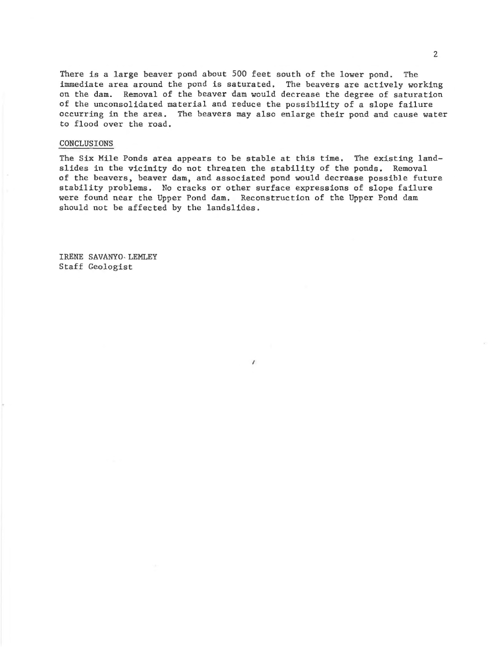There is a large beaver pond about 500 feet south of the lower pond. The immediate area around the pond is saturated, The beavers are actively working on the dam. Removal of the beaver dam would decrease the degree of saturation of the unconsolidated material and reduce the possibility of a slope failure occurring in the area. The beavers may also enlarge their pond and cause water to flood over the road.

## CONCLUSIONS

The Six Mile Ponds area appears to be stable at this time, The existing landslides in the vicinity do not threaten the stability of the ponds. Removal of the beavers, beaver dam, and associated pond would decrease possible future stability problems. No cracks or other surface expressions of slope failure were found near the Upper Pond dam. Reconstruction of the Upper Pond dam should not be affected by the landslides.

 $\lambda$ 

IRENE SAVANYO, LEMLEY Staff Geologist